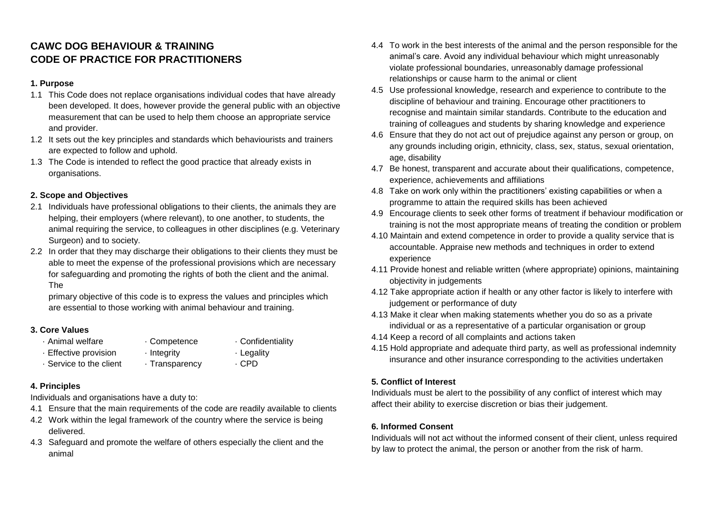## **CAWC DOG BEHAVIOUR & TRAINING CODE OF PRACTICE FOR PRACTITIONERS**

#### **1. Purpose**

- 1.1 This Code does not replace organisations individual codes that have already been developed. It does, however provide the general public with an objective measurement that can be used to help them choose an appropriate service and provider.
- 1.2 It sets out the key principles and standards which behaviourists and trainers are expected to follow and uphold.
- 1.3 The Code is intended to reflect the good practice that already exists in organisations.

### **2. Scope and Objectives**

- 2.1 Individuals have professional obligations to their clients, the animals they are helping, their employers (where relevant), to one another, to students, the animal requiring the service, to colleagues in other disciplines (e.g. Veterinary Surgeon) and to society.
- 2.2 In order that they may discharge their obligations to their clients they must be able to meet the expense of the professional provisions which are necessary for safeguarding and promoting the rights of both the client and the animal. The

primary objective of this code is to express the values and principles which are essential to those working with animal behaviour and training.

#### **3. Core Values**

- 
- · Animal welfare · Competence · Confidentiality

- · Effective provision · Integrity · Legality • Service to the client · Transparency · CPD
	-

## **4. Principles**

Individuals and organisations have a duty to:

- 4.1 Ensure that the main requirements of the code are readily available to clients
- 4.2 Work within the legal framework of the country where the service is being delivered.
- 4.3 Safeguard and promote the welfare of others especially the client and the animal
- 4.4 To work in the best interests of the animal and the person responsible for the animal's care. Avoid any individual behaviour which might unreasonably violate professional boundaries, unreasonably damage professional relationships or cause harm to the animal or client
- 4.5 Use professional knowledge, research and experience to contribute to the discipline of behaviour and training. Encourage other practitioners to recognise and maintain similar standards. Contribute to the education and training of colleagues and students by sharing knowledge and experience
- 4.6 Ensure that they do not act out of prejudice against any person or group, on any grounds including origin, ethnicity, class, sex, status, sexual orientation, age, disability
- 4.7 Be honest, transparent and accurate about their qualifications, competence, experience, achievements and affiliations
- 4.8 Take on work only within the practitioners' existing capabilities or when a programme to attain the required skills has been achieved
- 4.9 Encourage clients to seek other forms of treatment if behaviour modification or training is not the most appropriate means of treating the condition or problem
- 4.10 Maintain and extend competence in order to provide a quality service that is accountable. Appraise new methods and techniques in order to extend experience
- 4.11 Provide honest and reliable written (where appropriate) opinions, maintaining objectivity in judgements
- 4.12 Take appropriate action if health or any other factor is likely to interfere with judgement or performance of duty
- 4.13 Make it clear when making statements whether you do so as a private individual or as a representative of a particular organisation or group
- 4.14 Keep a record of all complaints and actions taken
- 4.15 Hold appropriate and adequate third party, as well as professional indemnity insurance and other insurance corresponding to the activities undertaken

## **5. Conflict of Interest**

Individuals must be alert to the possibility of any conflict of interest which may affect their ability to exercise discretion or bias their judgement.

#### **6. Informed Consent**

Individuals will not act without the informed consent of their client, unless required by law to protect the animal, the person or another from the risk of harm.